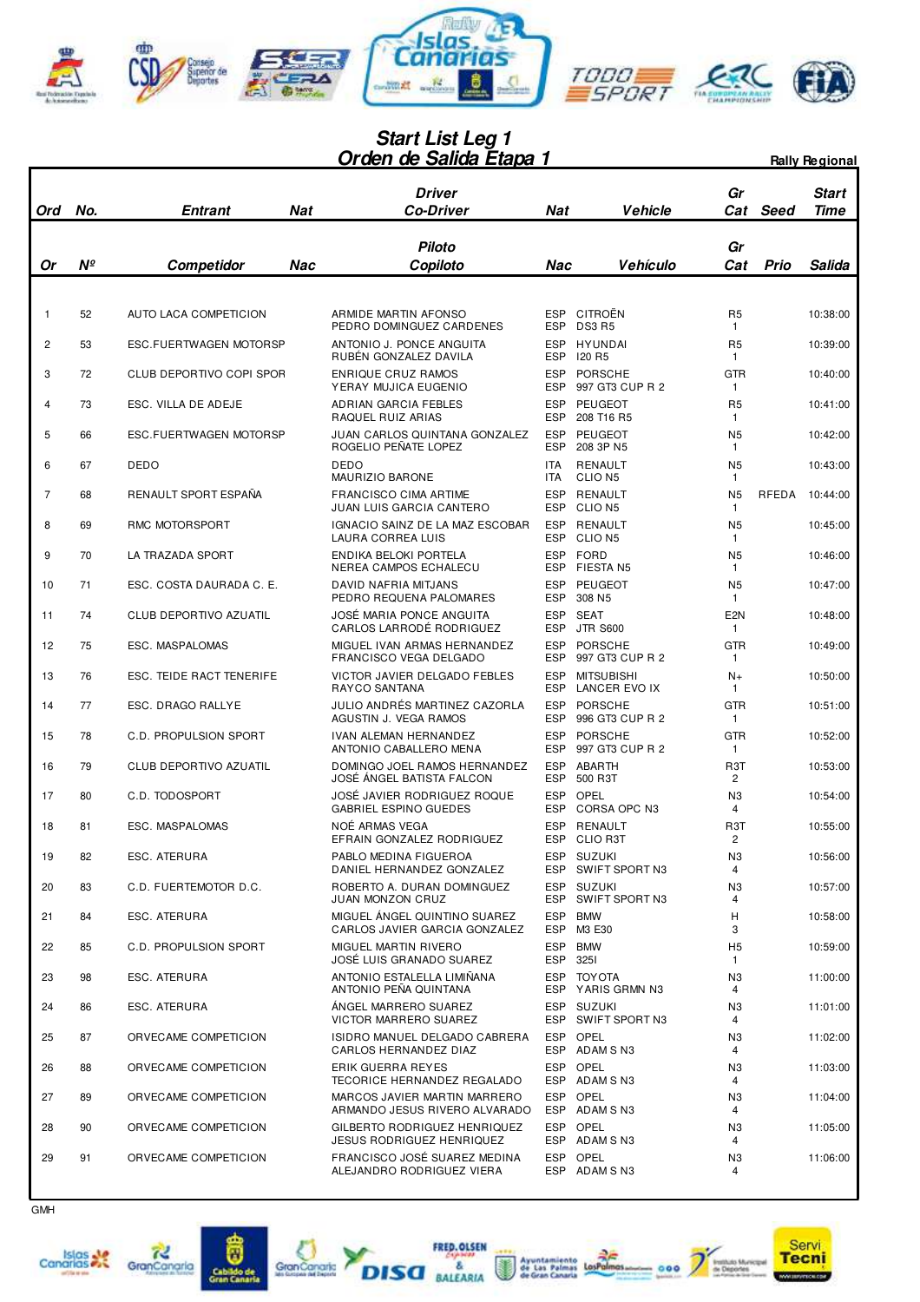

## **Orden de Salida Etapa 1 Start List Leg 1** *Drden de Salida Etapa 1 Rally Regional*

| Ord            | No.         | <b>Entrant</b>                | <b>Nat</b> | <b>Driver</b><br><b>Co-Driver</b>                             | Nat                      | Vehicle                            | Gr<br>Cat                      | Seed  | <b>Start</b><br><b>Time</b> |
|----------------|-------------|-------------------------------|------------|---------------------------------------------------------------|--------------------------|------------------------------------|--------------------------------|-------|-----------------------------|
|                |             |                               |            | <b>Piloto</b>                                                 |                          |                                    | Gr                             |       |                             |
| 0r             | $N^{\circ}$ | Competidor                    | Nac        | Copiloto                                                      | Nac                      | <b>Vehículo</b>                    | Cat                            | Prio  | Salida                      |
|                |             |                               |            |                                                               |                          |                                    |                                |       |                             |
| $\mathbf{1}$   | 52          | AUTO LACA COMPETICION         |            | ARMIDE MARTIN AFONSO<br>PEDRO DOMINGUEZ CARDENES              | <b>ESP</b><br><b>ESP</b> | CITROËN<br><b>DS3 R5</b>           | R <sub>5</sub><br>1            |       | 10:38:00                    |
| $\overline{c}$ | 53          | <b>ESC.FUERTWAGEN MOTORSP</b> |            | ANTONIO J. PONCE ANGUITA<br>RUBÉN GONZALEZ DAVILA             | <b>ESP</b><br><b>ESP</b> | HYUNDAI<br><b>I20 R5</b>           | R <sub>5</sub><br>1            |       | 10:39:00                    |
| 3              | 72          | CLUB DEPORTIVO COPI SPOR      |            | <b>ENRIQUE CRUZ RAMOS</b><br>YERAY MUJICA EUGENIO             | <b>ESP</b><br><b>ESP</b> | PORSCHE<br>997 GT3 CUP R 2         | <b>GTR</b><br>1                |       | 10:40:00                    |
| 4              | 73          | ESC. VILLA DE ADEJE           |            | ADRIAN GARCIA FEBLES<br>RAQUEL RUIZ ARIAS                     | <b>ESP</b><br><b>ESP</b> | <b>PEUGEOT</b><br>208 T16 R5       | R <sub>5</sub><br>1            |       | 10:41:00                    |
| 5              | 66          | ESC.FUERTWAGEN MOTORSP        |            | JUAN CARLOS QUINTANA GONZALEZ<br>ROGELIO PEÑATE LOPEZ         | <b>ESP</b><br><b>ESP</b> | <b>PEUGEOT</b><br>208 3P N5        | N <sub>5</sub><br>1            |       | 10:42:00                    |
| 6              | 67          | DEDO                          |            | <b>DEDO</b><br>MAURIZIO BARONE                                | <b>ITA</b><br><b>ITA</b> | RENAULT<br>CLIO <sub>N5</sub>      | N <sub>5</sub><br>1            |       | 10:43:00                    |
| 7              | 68          | RENAULT SPORT ESPAÑA          |            | <b>FRANCISCO CIMA ARTIME</b><br>JUAN LUIS GARCIA CANTERO      | <b>ESP</b><br><b>ESP</b> | RENAULT<br>CLIO <sub>N5</sub>      | N <sub>5</sub><br>1            | RFEDA | 10:44:00                    |
| 8              | 69          | RMC MOTORSPORT                |            | IGNACIO SAINZ DE LA MAZ ESCOBAR<br>LAURA CORREA LUIS          | <b>ESP</b><br><b>ESP</b> | RENAULT<br>CLIO N5                 | N <sub>5</sub><br>1            |       | 10:45:00                    |
| 9              | 70          | LA TRAZADA SPORT              |            | ENDIKA BELOKI PORTELA<br>NEREA CAMPOS ECHALECU                | <b>ESP</b><br><b>ESP</b> | <b>FORD</b><br>FIESTA N5           | N <sub>5</sub><br>1            |       | 10:46:00                    |
| 10             | 71          | ESC. COSTA DAURADA C. E.      |            | <b>DAVID NAFRIA MITJANS</b><br>PEDRO REQUENA PALOMARES        | <b>ESP</b><br><b>ESP</b> | PEUGEOT<br>308 N <sub>5</sub>      | N <sub>5</sub><br>$\mathbf{1}$ |       | 10:47:00                    |
| 11             | 74          | CLUB DEPORTIVO AZUATIL        |            | JOSÉ MARIA PONCE ANGUITA<br>CARLOS LARRODE RODRIGUEZ          | ESP<br><b>ESP</b>        | <b>SEAT</b><br><b>JTR S600</b>     | E <sub>2N</sub><br>1           |       | 10:48:00                    |
| 12             | 75          | ESC. MASPALOMAS               |            | MIGUEL IVAN ARMAS HERNANDEZ<br>FRANCISCO VEGA DELGADO         | <b>ESP</b><br><b>ESP</b> | <b>PORSCHE</b><br>997 GT3 CUP R 2  | GTR<br>1                       |       | 10:49:00                    |
| 13             | 76          | ESC. TEIDE RACT TENERIFE      |            | VICTOR JAVIER DELGADO FEBLES<br>RAYCO SANTANA                 | <b>ESP</b><br><b>ESP</b> | <b>MITSUBISHI</b><br>LANCER EVO IX | $N+$<br>1                      |       | 10:50:00                    |
| 14             | 77          | ESC. DRAGO RALLYE             |            | JULIO ANDRÉS MARTINEZ CAZORLA<br>AGUSTIN J. VEGA RAMOS        | <b>ESP</b><br><b>ESP</b> | <b>PORSCHE</b><br>996 GT3 CUP R 2  | <b>GTR</b><br>$\mathbf{1}$     |       | 10:51:00                    |
| 15             | 78          | <b>C.D. PROPULSION SPORT</b>  |            | IVAN ALEMAN HERNANDEZ<br>ANTONIO CABALLERO MENA               | ESP<br><b>ESP</b>        | PORSCHE<br>997 GT3 CUP R 2         | <b>GTR</b><br>1                |       | 10:52:00                    |
| 16             | 79          | CLUB DEPORTIVO AZUATIL        |            | DOMINGO JOEL RAMOS HERNANDEZ<br>JOSÉ ÁNGEL BATISTA FALCON     | <b>ESP</b><br><b>ESP</b> | <b>ABARTH</b><br>500 R3T           | R <sub>3</sub> T<br>2          |       | 10:53:00                    |
| 17             | 80          | C.D. TODOSPORT                |            | JOSÉ JAVIER RODRIGUEZ ROQUE<br>GABRIEL ESPINO GUEDES          | <b>ESP</b><br>ESP        | <b>OPEL</b><br>CORSA OPC N3        | N <sub>3</sub><br>4            |       | 10:54:00                    |
| 18             | 81          | ESC. MASPALOMAS               |            | NOÉ ARMAS VEGA<br>EFRAIN GONZALEZ RODRIGUEZ                   | <b>ESP</b><br><b>ESP</b> | RENAULT<br><b>CLIO R3T</b>         | R <sub>3</sub> T<br>2          |       | 10:55:00                    |
| 19             | 82          | ESC. ATERURA                  |            | PABLO MEDINA FIGUEROA<br>DANIEL HERNANDEZ GONZALEZ            |                          | ESP SUZUKI<br>ESP SWIFT SPORT N3   | N <sub>3</sub><br>4            |       | 10:56:00                    |
| 20             | 83          | C.D. FUERTEMOTOR D.C.         |            | ROBERTO A. DURAN DOMINGUEZ<br><b>JUAN MONZON CRUZ</b>         | <b>ESP</b><br><b>ESP</b> | SUZUKI<br>SWIFT SPORT N3           | N <sub>3</sub><br>4            |       | 10:57:00                    |
| 21             | 84          | ESC. ATERURA                  |            | MIGUEL ÁNGEL QUINTINO SUAREZ<br>CARLOS JAVIER GARCIA GONZALEZ | ESP                      | <b>BMW</b><br>ESP M3 E30           | Н<br>3                         |       | 10:58:00                    |
| 22             | 85          | C.D. PROPULSION SPORT         |            | MIGUEL MARTIN RIVERO<br>JOSÉ LUIS GRANADO SUAREZ              | ESP                      | <b>BMW</b><br>ESP 3251             | H <sub>5</sub><br>1            |       | 10:59:00                    |
| 23             | 98          | ESC. ATERURA                  |            | ANTONIO ESTALELLA LIMIÑANA<br>ANTONIO PEÑA QUINTANA           |                          | ESP TOYOTA<br>ESP YARIS GRMN N3    | N <sub>3</sub><br>4            |       | 11:00:00                    |
| 24             | 86          | ESC. ATERURA                  |            | ÁNGEL MARRERO SUAREZ<br><b>VICTOR MARRERO SUAREZ</b>          | ESP<br>ESP               | SUZUKI<br>SWIFT SPORT N3           | N <sub>3</sub><br>4            |       | 11:01:00                    |
| 25             | 87          | ORVECAME COMPETICION          |            | ISIDRO MANUEL DELGADO CABRERA<br>CARLOS HERNANDEZ DIAZ        | ESP                      | <b>OPEL</b><br>ESP ADAM SN3        | N <sub>3</sub><br>4            |       | 11:02:00                    |
| 26             | 88          | ORVECAME COMPETICION          |            | ERIK GUERRA REYES<br>TECORICE HERNANDEZ REGALADO              |                          | ESP OPEL<br>ESP ADAM SN3           | N <sub>3</sub><br>4            |       | 11:03:00                    |
| 27             | 89          | ORVECAME COMPETICION          |            | MARCOS JAVIER MARTIN MARRERO<br>ARMANDO JESUS RIVERO ALVARADO | ESP                      | OPEL<br>ESP ADAM SN3               | N <sub>3</sub><br>4            |       | 11:04:00                    |
| 28             | 90          | ORVECAME COMPETICION          |            | GILBERTO RODRIGUEZ HENRIQUEZ<br>JESUS RODRIGUEZ HENRIQUEZ     | ESP<br><b>ESP</b>        | OPEL<br>ADAM S N3                  | N <sub>3</sub><br>4            |       | 11:05:00                    |
| 29             | 91          | ORVECAME COMPETICION          |            | FRANCISCO JOSÉ SUAREZ MEDINA<br>ALEJANDRO RODRIGUEZ VIERA     | ESP                      | <b>OPEL</b><br>ESP ADAM SN3        | N3<br>4                        |       | 11:06:00                    |













 $\overline{2}$ 000